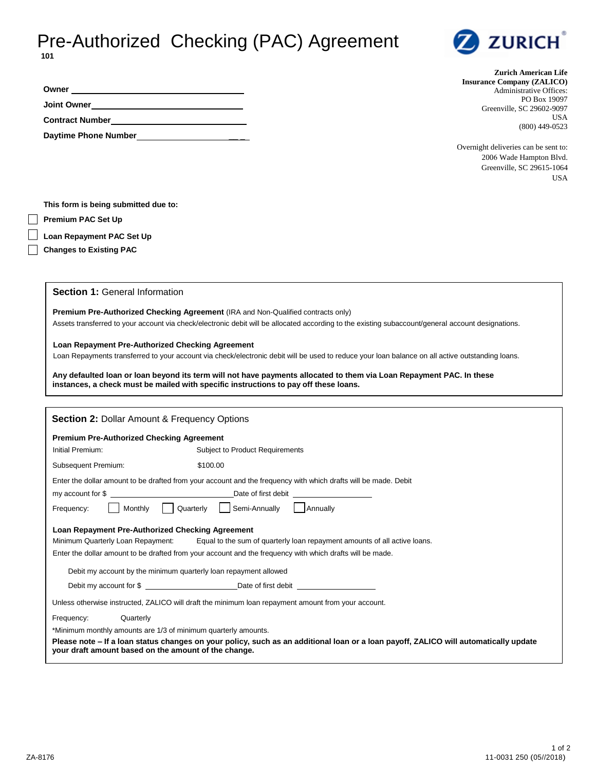## Pre-Authorized Checking (PAC) Agreement **101**



| <b>Zurich American Life</b>       |
|-----------------------------------|
| <b>Insurance Company (ZALICO)</b> |
| <b>Administrative Offices:</b>    |
| PO Box 19097                      |
| Greenville, SC 29602-9097         |
| USA                               |
| $(800)$ 449-0523                  |

Overnight deliveries can be sent to: 2006 Wade Hampton Blvd. Greenville, SC 29615-1064 USA

**This form is being submitted due to:** 

**Daytime Phone Number** \_\_\_\_\_

**Premium PAC Set Up** 

**Owner Joint Owner Contract Number** 

**Loan Repayment PAC Set Up**

**Changes to Existing PAC**

**Section 1:** General Information

**Premium Pre-Authorized Checking Agreement** (IRA and Non-Qualified contracts only)

Assets transferred to your account via check/electronic debit will be allocated according to the existing subaccount/general account designations.

**Loan Repayment Pre-Authorized Checking Agreement**

Loan Repayments transferred to your account via check/electronic debit will be used to reduce your loan balance on all active outstanding loans.

**Any defaulted loan or loan beyond its term will not have payments allocated to them via Loan Repayment PAC. In these instances, a check must be mailed with specific instructions to pay off these loans.**

| <b>Section 2: Dollar Amount &amp; Frequency Options</b>                                                                                                                                      |  |  |  |
|----------------------------------------------------------------------------------------------------------------------------------------------------------------------------------------------|--|--|--|
| <b>Premium Pre-Authorized Checking Agreement</b>                                                                                                                                             |  |  |  |
| Initial Premium:<br><b>Subject to Product Requirements</b>                                                                                                                                   |  |  |  |
| Subsequent Premium:<br>\$100.00                                                                                                                                                              |  |  |  |
| Enter the dollar amount to be drafted from your account and the frequency with which drafts will be made. Debit                                                                              |  |  |  |
| my account for \$                                                                                                                                                                            |  |  |  |
| Frequency:     Monthly     Quarterly     Semi-Annually     Annually                                                                                                                          |  |  |  |
| Loan Repayment Pre-Authorized Checking Agreement                                                                                                                                             |  |  |  |
| Equal to the sum of quarterly loan repayment amounts of all active loans.<br>Minimum Quarterly Loan Repayment:                                                                               |  |  |  |
| Enter the dollar amount to be drafted from your account and the frequency with which drafts will be made.                                                                                    |  |  |  |
| Debit my account by the minimum quarterly loan repayment allowed                                                                                                                             |  |  |  |
| Debit my account for \$                                                                                                                                                                      |  |  |  |
| Unless otherwise instructed, ZALICO will draft the minimum loan repayment amount from your account.                                                                                          |  |  |  |
| Quarterly<br>Frequency:                                                                                                                                                                      |  |  |  |
| *Minimum monthly amounts are 1/3 of minimum quarterly amounts.                                                                                                                               |  |  |  |
| Please note – If a loan status changes on your policy, such as an additional loan or a loan payoff, ZALICO will automatically update<br>your draft amount based on the amount of the change. |  |  |  |